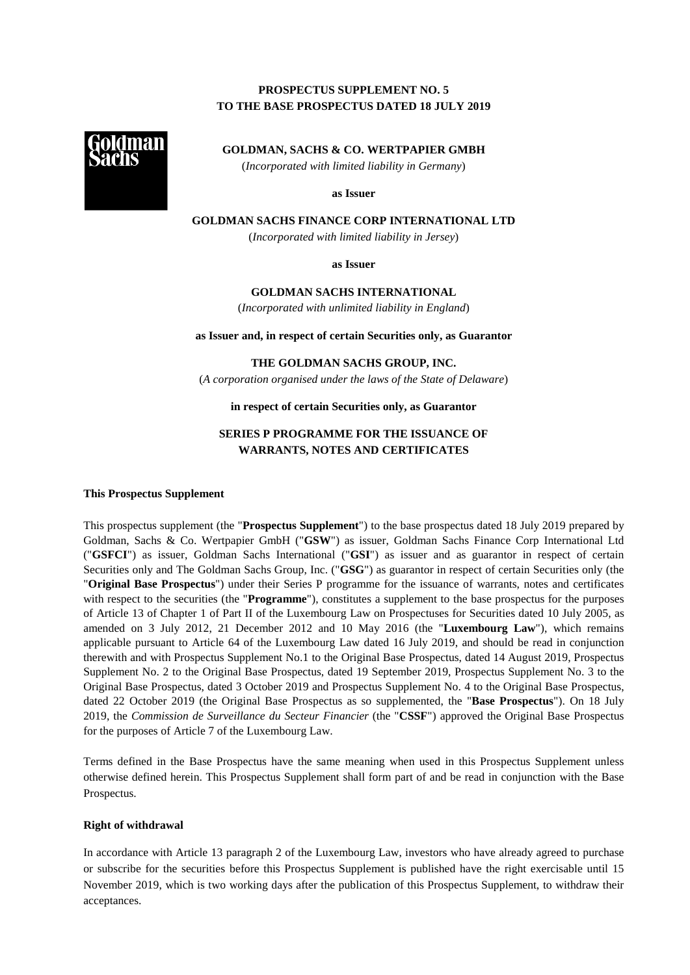# **PROSPECTUS SUPPLEMENT NO. 5 TO THE BASE PROSPECTUS DATED 18 JULY 2019**



**GOLDMAN, SACHS & CO. WERTPAPIER GMBH**  (*Incorporated with limited liability in Germany*)

**as Issuer** 

**GOLDMAN SACHS FINANCE CORP INTERNATIONAL LTD** 

(*Incorporated with limited liability in Jersey*)

**as Issuer** 

**GOLDMAN SACHS INTERNATIONAL** 

(*Incorporated with unlimited liability in England*)

**as Issuer and, in respect of certain Securities only, as Guarantor** 

**THE GOLDMAN SACHS GROUP, INC.** 

(*A corporation organised under the laws of the State of Delaware*)

### **in respect of certain Securities only, as Guarantor**

# **SERIES P PROGRAMME FOR THE ISSUANCE OF WARRANTS, NOTES AND CERTIFICATES**

### **This Prospectus Supplement**

This prospectus supplement (the "**Prospectus Supplement**") to the base prospectus dated 18 July 2019 prepared by Goldman, Sachs & Co. Wertpapier GmbH ("**GSW**") as issuer, Goldman Sachs Finance Corp International Ltd ("**GSFCI**") as issuer, Goldman Sachs International ("**GSI**") as issuer and as guarantor in respect of certain Securities only and The Goldman Sachs Group, Inc. ("**GSG**") as guarantor in respect of certain Securities only (the "**Original Base Prospectus**") under their Series P programme for the issuance of warrants, notes and certificates with respect to the securities (the "**Programme**"), constitutes a supplement to the base prospectus for the purposes of Article 13 of Chapter 1 of Part II of the Luxembourg Law on Prospectuses for Securities dated 10 July 2005, as amended on 3 July 2012, 21 December 2012 and 10 May 2016 (the "**Luxembourg Law**"), which remains applicable pursuant to Article 64 of the Luxembourg Law dated 16 July 2019, and should be read in conjunction therewith and with Prospectus Supplement No.1 to the Original Base Prospectus, dated 14 August 2019, Prospectus Supplement No. 2 to the Original Base Prospectus, dated 19 September 2019, Prospectus Supplement No. 3 to the Original Base Prospectus, dated 3 October 2019 and Prospectus Supplement No. 4 to the Original Base Prospectus, dated 22 October 2019 (the Original Base Prospectus as so supplemented, the "**Base Prospectus**"). On 18 July 2019, the *Commission de Surveillance du Secteur Financier* (the "**CSSF**") approved the Original Base Prospectus for the purposes of Article 7 of the Luxembourg Law.

Terms defined in the Base Prospectus have the same meaning when used in this Prospectus Supplement unless otherwise defined herein. This Prospectus Supplement shall form part of and be read in conjunction with the Base Prospectus.

### **Right of withdrawal**

In accordance with Article 13 paragraph 2 of the Luxembourg Law, investors who have already agreed to purchase or subscribe for the securities before this Prospectus Supplement is published have the right exercisable until 15 November 2019, which is two working days after the publication of this Prospectus Supplement, to withdraw their acceptances.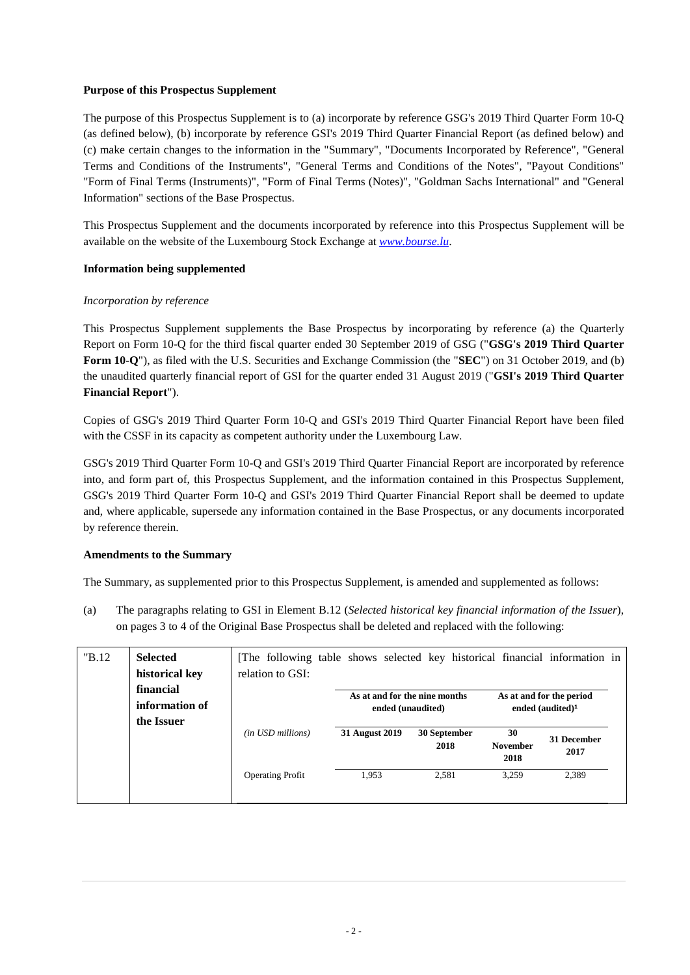# **Purpose of this Prospectus Supplement**

The purpose of this Prospectus Supplement is to (a) incorporate by reference GSG's 2019 Third Quarter Form 10-Q (as defined below), (b) incorporate by reference GSI's 2019 Third Quarter Financial Report (as defined below) and (c) make certain changes to the information in the "Summary", "Documents Incorporated by Reference", "General Terms and Conditions of the Instruments", "General Terms and Conditions of the Notes", "Payout Conditions" "Form of Final Terms (Instruments)", "Form of Final Terms (Notes)", "Goldman Sachs International" and "General Information" sections of the Base Prospectus.

This Prospectus Supplement and the documents incorporated by reference into this Prospectus Supplement will be available on the website of the Luxembourg Stock Exchange at *www.bourse.lu*.

# **Information being supplemented**

# *Incorporation by reference*

This Prospectus Supplement supplements the Base Prospectus by incorporating by reference (a) the Quarterly Report on Form 10-Q for the third fiscal quarter ended 30 September 2019 of GSG ("**GSG's 2019 Third Quarter Form 10-Q**"), as filed with the U.S. Securities and Exchange Commission (the "**SEC**") on 31 October 2019, and (b) the unaudited quarterly financial report of GSI for the quarter ended 31 August 2019 ("**GSI's 2019 Third Quarter Financial Report**").

Copies of GSG's 2019 Third Quarter Form 10-Q and GSI's 2019 Third Quarter Financial Report have been filed with the CSSF in its capacity as competent authority under the Luxembourg Law.

GSG's 2019 Third Quarter Form 10-Q and GSI's 2019 Third Quarter Financial Report are incorporated by reference into, and form part of, this Prospectus Supplement, and the information contained in this Prospectus Supplement, GSG's 2019 Third Quarter Form 10-Q and GSI's 2019 Third Quarter Financial Report shall be deemed to update and, where applicable, supersede any information contained in the Base Prospectus, or any documents incorporated by reference therein.

# **Amendments to the Summary**

The Summary, as supplemented prior to this Prospectus Supplement, is amended and supplemented as follows:

(a) The paragraphs relating to GSI in Element B.12 (*Selected historical key financial information of the Issuer*), on pages 3 to 4 of the Original Base Prospectus shall be deleted and replaced with the following:

| "B.12" | <b>Selected</b><br>historical key | The following table shows selected key historical financial information in<br>relation to GSI: |                |                               |                         |                          |  |
|--------|-----------------------------------|------------------------------------------------------------------------------------------------|----------------|-------------------------------|-------------------------|--------------------------|--|
|        | financial                         |                                                                                                |                | As at and for the nine months |                         | As at and for the period |  |
|        | information of                    |                                                                                                |                | ended (unaudited)             | ended $(audited)^1$     |                          |  |
|        | the Issuer                        | (in USD millions)                                                                              | 31 August 2019 | 30 September                  | 30                      |                          |  |
|        |                                   |                                                                                                |                | 2018                          | <b>November</b><br>2018 | 31 December<br>2017      |  |
|        |                                   | <b>Operating Profit</b>                                                                        | 1,953          | 2.581                         | 3.259                   | 2.389                    |  |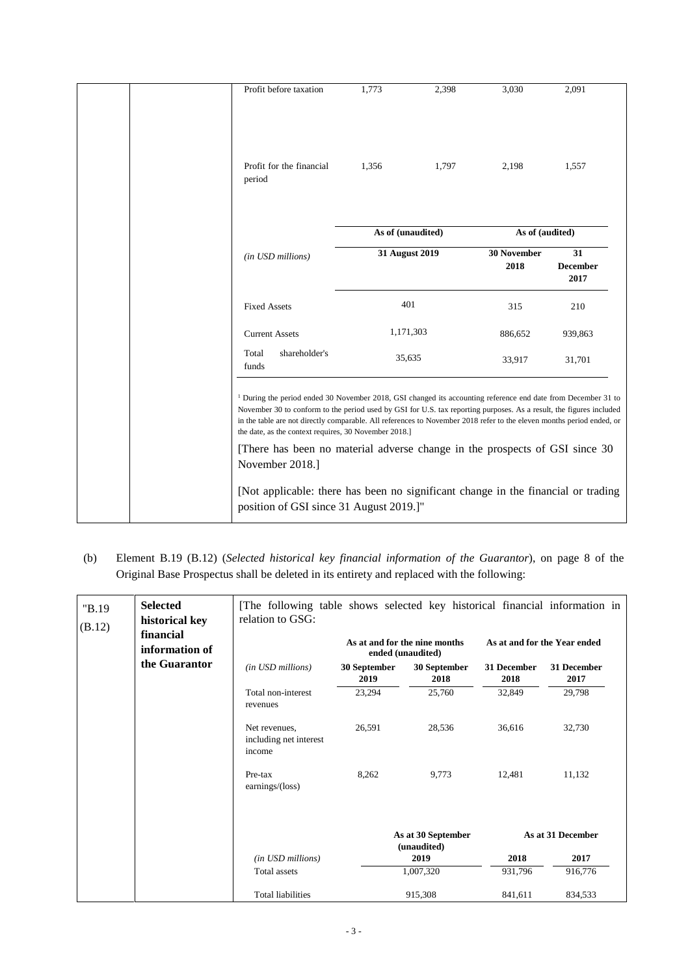|  | Profit before taxation                                                                                              | 1,773                                                                                                                                                                                                                                                                                                                                                                                                                                                                                                                                        | 2,398             | 3,030           | 2,091                         |
|--|---------------------------------------------------------------------------------------------------------------------|----------------------------------------------------------------------------------------------------------------------------------------------------------------------------------------------------------------------------------------------------------------------------------------------------------------------------------------------------------------------------------------------------------------------------------------------------------------------------------------------------------------------------------------------|-------------------|-----------------|-------------------------------|
|  | Profit for the financial<br>period                                                                                  | 1,356                                                                                                                                                                                                                                                                                                                                                                                                                                                                                                                                        | 1,797             | 2,198           | 1,557                         |
|  |                                                                                                                     |                                                                                                                                                                                                                                                                                                                                                                                                                                                                                                                                              | As of (unaudited) | As of (audited) |                               |
|  | (in USD millions)                                                                                                   |                                                                                                                                                                                                                                                                                                                                                                                                                                                                                                                                              | 31 August 2019    |                 | 31<br><b>December</b><br>2017 |
|  | <b>Fixed Assets</b>                                                                                                 |                                                                                                                                                                                                                                                                                                                                                                                                                                                                                                                                              | 401               |                 | 210                           |
|  | <b>Current Assets</b>                                                                                               | 1,171,303                                                                                                                                                                                                                                                                                                                                                                                                                                                                                                                                    |                   | 886,652         | 939,863                       |
|  | shareholder's<br>Total<br>funds                                                                                     |                                                                                                                                                                                                                                                                                                                                                                                                                                                                                                                                              | 35,635            | 33,917          | 31,701                        |
|  | the date, as the context requires, 30 November 2018.]<br>November 2018.]<br>position of GSI since 31 August 2019.]" | <sup>1</sup> During the period ended 30 November 2018, GSI changed its accounting reference end date from December 31 to<br>November 30 to conform to the period used by GSI for U.S. tax reporting purposes. As a result, the figures included<br>in the table are not directly comparable. All references to November 2018 refer to the eleven months period ended, or<br>[There has been no material adverse change in the prospects of GSI since 30<br>[Not applicable: there has been no significant change in the financial or trading |                   |                 |                               |

(b) Element B.19 (B.12) (*Selected historical key financial information of the Guarantor*), on page 8 of the Original Base Prospectus shall be deleted in its entirety and replaced with the following:

| "B.19<br>(B.12) | <b>Selected</b><br>historical key | The following table shows selected key historical financial information in<br>relation to GSG: |                      |                                                    |                     |                              |
|-----------------|-----------------------------------|------------------------------------------------------------------------------------------------|----------------------|----------------------------------------------------|---------------------|------------------------------|
|                 | financial<br>information of       |                                                                                                |                      | As at and for the nine months<br>ended (unaudited) |                     | As at and for the Year ended |
|                 | the Guarantor                     | (in USD millions)                                                                              | 30 September<br>2019 | 30 September<br>2018                               | 31 December<br>2018 | 31 December<br>2017          |
|                 |                                   | Total non-interest<br>revenues                                                                 | 23,294               | 25,760                                             | 32,849              | 29,798                       |
|                 |                                   | Net revenues.<br>including net interest<br>income                                              | 26,591               | 28,536                                             | 36.616              | 32,730                       |
|                 |                                   | Pre-tax<br>earnings/(loss)                                                                     | 8,262                | 9,773                                              | 12,481              | 11,132                       |
|                 |                                   |                                                                                                |                      | As at 30 September<br>(unaudited)                  |                     | As at 31 December            |
|                 |                                   | (in USD millions)                                                                              |                      | 2019                                               | 2018                | 2017                         |
|                 |                                   | <b>Total</b> assets                                                                            |                      | 1,007,320                                          | 931,796             | 916,776                      |
|                 |                                   | <b>Total liabilities</b>                                                                       |                      | 915,308                                            | 841,611             | 834,533                      |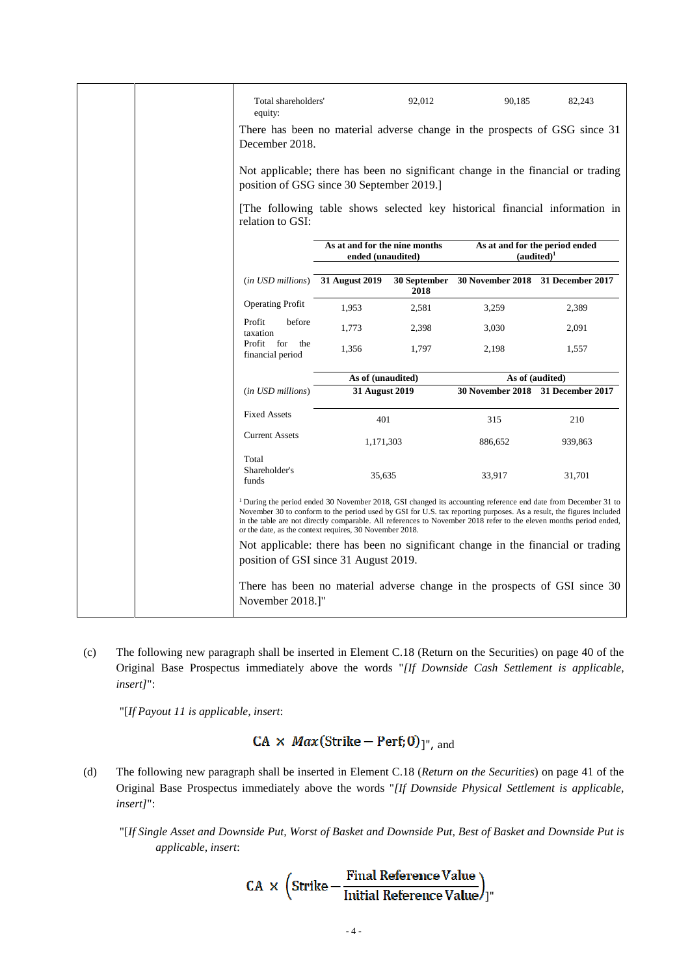|                                 | Total shareholders'<br>equity:                          |                                                    | 92,012               | 90,185                            | 82,243                                                                                                                                                                                                                                                                                                                                                                |
|---------------------------------|---------------------------------------------------------|----------------------------------------------------|----------------------|-----------------------------------|-----------------------------------------------------------------------------------------------------------------------------------------------------------------------------------------------------------------------------------------------------------------------------------------------------------------------------------------------------------------------|
|                                 | December 2018.                                          |                                                    |                      |                                   | There has been no material adverse change in the prospects of GSG since 31                                                                                                                                                                                                                                                                                            |
|                                 | position of GSG since 30 September 2019.]               |                                                    |                      |                                   | Not applicable; there has been no significant change in the financial or trading                                                                                                                                                                                                                                                                                      |
|                                 | relation to GSI:                                        |                                                    |                      |                                   | [The following table shows selected key historical financial information in                                                                                                                                                                                                                                                                                           |
|                                 |                                                         | As at and for the nine months<br>ended (unaudited) |                      |                                   | As at and for the period ended<br>(audited) <sup>1</sup>                                                                                                                                                                                                                                                                                                              |
|                                 | (in USD millions) 31 August 2019                        |                                                    | 30 September<br>2018 | 30 November 2018 31 December 2017 |                                                                                                                                                                                                                                                                                                                                                                       |
|                                 | <b>Operating Profit</b>                                 | 1,953                                              | 2,581                | 3,259                             | 2,389                                                                                                                                                                                                                                                                                                                                                                 |
|                                 | before<br>Profit<br>taxation                            | 1,773                                              | 2,398                | 3,030                             | 2,091                                                                                                                                                                                                                                                                                                                                                                 |
|                                 | Profit<br>for the<br>financial period                   | 1,356                                              | 1,797                | 2,198                             | 1,557                                                                                                                                                                                                                                                                                                                                                                 |
|                                 |                                                         | As of (unaudited)                                  |                      |                                   | As of (audited)                                                                                                                                                                                                                                                                                                                                                       |
|                                 | (in USD millions)                                       | 31 August 2019                                     |                      | 30 November 2018 31 December 2017 |                                                                                                                                                                                                                                                                                                                                                                       |
|                                 | <b>Fixed Assets</b>                                     | 401                                                |                      | 315                               | 210                                                                                                                                                                                                                                                                                                                                                                   |
|                                 | <b>Current Assets</b>                                   | 1,171,303                                          |                      | 886,652                           | 939,863                                                                                                                                                                                                                                                                                                                                                               |
| Total<br>Shareholder's<br>funds |                                                         | 35,635                                             |                      | 33,917                            | 31,701                                                                                                                                                                                                                                                                                                                                                                |
|                                 | or the date, as the context requires, 30 November 2018. |                                                    |                      |                                   | <sup>1</sup> During the period ended 30 November 2018, GSI changed its accounting reference end date from December 31 to<br>November 30 to conform to the period used by GSI for U.S. tax reporting purposes. As a result, the figures included<br>in the table are not directly comparable. All references to November 2018 refer to the eleven months period ended, |
|                                 | position of GSI since 31 August 2019.                   |                                                    |                      |                                   | Not applicable: there has been no significant change in the financial or trading                                                                                                                                                                                                                                                                                      |
|                                 | November 2018.]"                                        |                                                    |                      |                                   | There has been no material adverse change in the prospects of GSI since 30                                                                                                                                                                                                                                                                                            |

(c) The following new paragraph shall be inserted in Element C.18 (Return on the Securities) on page 40 of the Original Base Prospectus immediately above the words "*[If Downside Cash Settlement is applicable, insert]*":

"[*If Payout 11 is applicable, insert*:

# $CA \times Max(Strike - Perf; 0)$ <sup>"</sup>, and

- (d) The following new paragraph shall be inserted in Element C.18 (*Return on the Securities*) on page 41 of the Original Base Prospectus immediately above the words "*[If Downside Physical Settlement is applicable, insert]*":
	- "[*If Single Asset and Downside Put, Worst of Basket and Downside Put, Best of Basket and Downside Put is applicable, insert*:

 $CA \times \left( \text{Strike} - \frac{\text{Final Reference Value}}{\text{Initial Reference Value}} \right)_{j''}$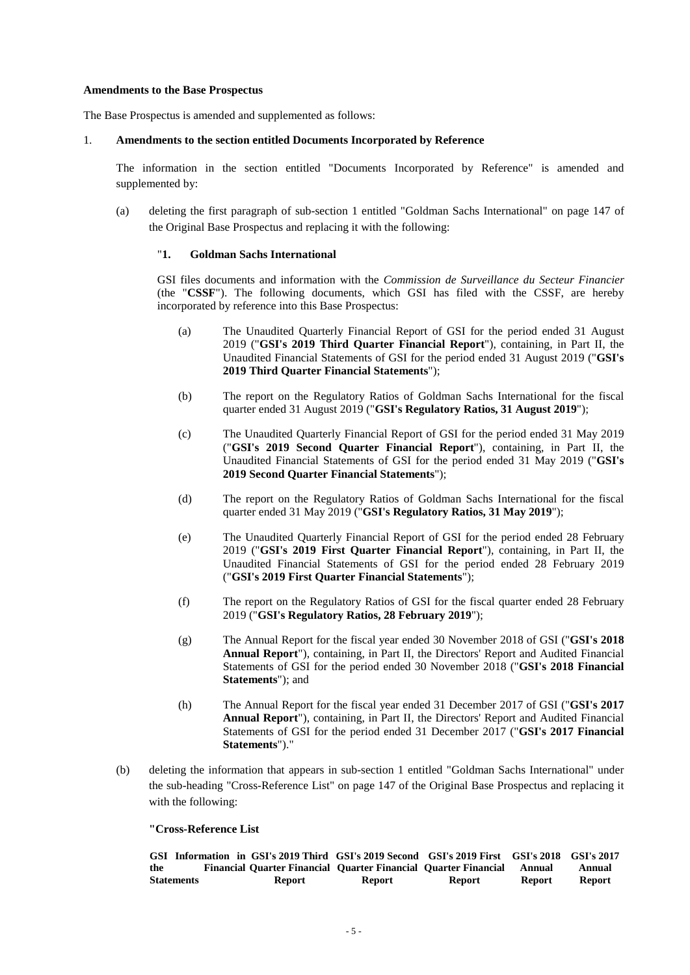### **Amendments to the Base Prospectus**

The Base Prospectus is amended and supplemented as follows:

### 1. **Amendments to the section entitled Documents Incorporated by Reference**

The information in the section entitled "Documents Incorporated by Reference" is amended and supplemented by:

(a) deleting the first paragraph of sub-section 1 entitled "Goldman Sachs International" on page 147 of the Original Base Prospectus and replacing it with the following:

### "**1. Goldman Sachs International**

GSI files documents and information with the *Commission de Surveillance du Secteur Financier* (the "**CSSF**"). The following documents, which GSI has filed with the CSSF, are hereby incorporated by reference into this Base Prospectus:

- (a) The Unaudited Quarterly Financial Report of GSI for the period ended 31 August 2019 ("**GSI's 2019 Third Quarter Financial Report**"), containing, in Part II, the Unaudited Financial Statements of GSI for the period ended 31 August 2019 ("**GSI's 2019 Third Quarter Financial Statements**");
- (b) The report on the Regulatory Ratios of Goldman Sachs International for the fiscal quarter ended 31 August 2019 ("**GSI's Regulatory Ratios, 31 August 2019**");
- (c) The Unaudited Quarterly Financial Report of GSI for the period ended 31 May 2019 ("**GSI's 2019 Second Quarter Financial Report**"), containing, in Part II, the Unaudited Financial Statements of GSI for the period ended 31 May 2019 ("**GSI's 2019 Second Quarter Financial Statements**");
- (d) The report on the Regulatory Ratios of Goldman Sachs International for the fiscal quarter ended 31 May 2019 ("**GSI's Regulatory Ratios, 31 May 2019**");
- (e) The Unaudited Quarterly Financial Report of GSI for the period ended 28 February 2019 ("**GSI's 2019 First Quarter Financial Report**"), containing, in Part II, the Unaudited Financial Statements of GSI for the period ended 28 February 2019 ("**GSI's 2019 First Quarter Financial Statements**");
- (f) The report on the Regulatory Ratios of GSI for the fiscal quarter ended 28 February 2019 ("**GSI's Regulatory Ratios, 28 February 2019**");
- (g) The Annual Report for the fiscal year ended 30 November 2018 of GSI ("**GSI's 2018 Annual Report**"), containing, in Part II, the Directors' Report and Audited Financial Statements of GSI for the period ended 30 November 2018 ("**GSI's 2018 Financial Statements**"); and
- (h) The Annual Report for the fiscal year ended 31 December 2017 of GSI ("**GSI's 2017 Annual Report**"), containing, in Part II, the Directors' Report and Audited Financial Statements of GSI for the period ended 31 December 2017 ("**GSI's 2017 Financial Statements**")."
- (b) deleting the information that appears in sub-section 1 entitled "Goldman Sachs International" under the sub-heading "Cross-Reference List" on page 147 of the Original Base Prospectus and replacing it with the following:

### **"Cross-Reference List**

|                   | GSI Information in GSI's 2019 Third GSI's 2019 Second GSI's 2019 First GSI's 2018 GSI's 2017 |        |               |               |               |
|-------------------|----------------------------------------------------------------------------------------------|--------|---------------|---------------|---------------|
| the               | Financial Ouarter Financial Ouarter Financial Ouarter Financial Annual                       |        |               |               | Annual        |
| <b>Statements</b> | Report                                                                                       | Report | <b>Report</b> | <b>Report</b> | <b>Report</b> |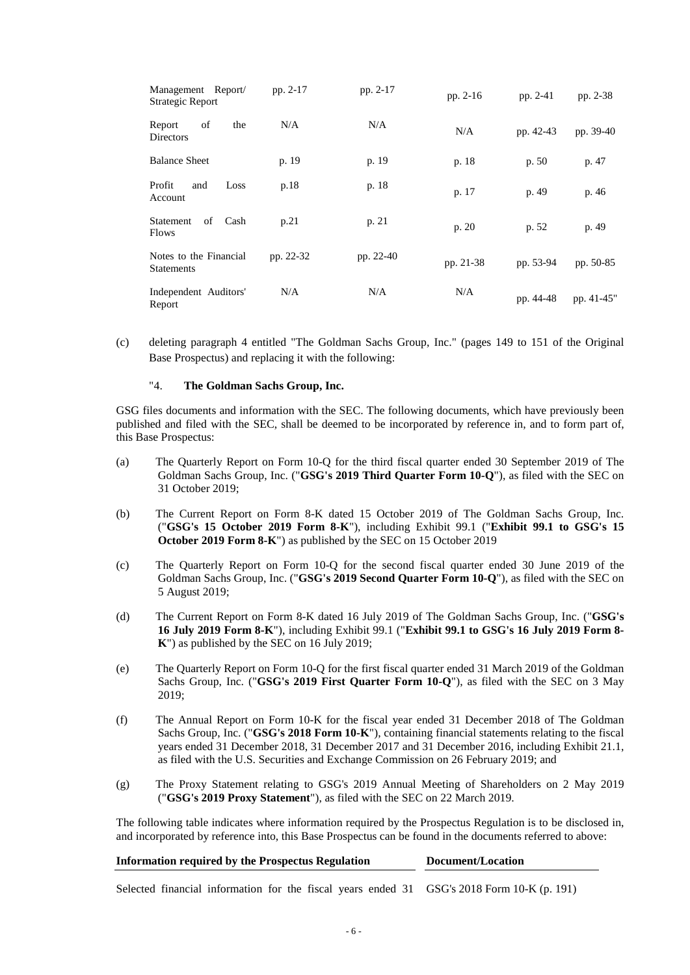| Management Report/<br>Strategic Report      | pp. 2-17  | pp. 2-17  | pp. 2-16  | pp. 2-41  | pp. 2-38   |
|---------------------------------------------|-----------|-----------|-----------|-----------|------------|
| of<br>the<br>Report<br>Directors            | N/A       | N/A       | N/A       | pp. 42-43 | pp. 39-40  |
| <b>Balance Sheet</b>                        | p. 19     | p. 19     | p. 18     | p. 50     | p. 47      |
| Profit<br>Loss<br>and<br>Account            | p.18      | p. 18     | p. 17     | p. 49     | p. 46      |
| of<br>Cash<br>Statement<br><b>Flows</b>     | p.21      | p. 21     | p. 20     | p. 52     | p. 49      |
| Notes to the Financial<br><b>Statements</b> | pp. 22-32 | pp. 22-40 | pp. 21-38 | pp. 53-94 | pp. 50-85  |
| Independent Auditors'<br>Report             | N/A       | N/A       | N/A       | pp. 44-48 | pp. 41-45" |

(c) deleting paragraph 4 entitled "The Goldman Sachs Group, Inc." (pages 149 to 151 of the Original Base Prospectus) and replacing it with the following:

### "4. **The Goldman Sachs Group, Inc.**

GSG files documents and information with the SEC. The following documents, which have previously been published and filed with the SEC, shall be deemed to be incorporated by reference in, and to form part of, this Base Prospectus:

- (a) The Quarterly Report on Form 10-Q for the third fiscal quarter ended 30 September 2019 of The Goldman Sachs Group, Inc. ("**GSG's 2019 Third Quarter Form 10-Q**"), as filed with the SEC on 31 October 2019;
- (b) The Current Report on Form 8-K dated 15 October 2019 of The Goldman Sachs Group, Inc. ("**GSG's 15 October 2019 Form 8-K**"), including Exhibit 99.1 ("**Exhibit 99.1 to GSG's 15 October 2019 Form 8-K**") as published by the SEC on 15 October 2019
- (c) The Quarterly Report on Form 10-Q for the second fiscal quarter ended 30 June 2019 of the Goldman Sachs Group, Inc. ("**GSG's 2019 Second Quarter Form 10-Q**"), as filed with the SEC on 5 August 2019;
- (d) The Current Report on Form 8-K dated 16 July 2019 of The Goldman Sachs Group, Inc. ("**GSG's 16 July 2019 Form 8-K**"), including Exhibit 99.1 ("**Exhibit 99.1 to GSG's 16 July 2019 Form 8- K**") as published by the SEC on 16 July 2019;
- (e) The Quarterly Report on Form 10-Q for the first fiscal quarter ended 31 March 2019 of the Goldman Sachs Group, Inc. ("**GSG's 2019 First Quarter Form 10-Q**"), as filed with the SEC on 3 May 2019;
- (f) The Annual Report on Form 10-K for the fiscal year ended 31 December 2018 of The Goldman Sachs Group, Inc. ("**GSG's 2018 Form 10-K**"), containing financial statements relating to the fiscal years ended 31 December 2018, 31 December 2017 and 31 December 2016, including Exhibit 21.1, as filed with the U.S. Securities and Exchange Commission on 26 February 2019; and
- (g) The Proxy Statement relating to GSG's 2019 Annual Meeting of Shareholders on 2 May 2019 ("**GSG's 2019 Proxy Statement**"), as filed with the SEC on 22 March 2019.

The following table indicates where information required by the Prospectus Regulation is to be disclosed in, and incorporated by reference into, this Base Prospectus can be found in the documents referred to above:

| <b>Information required by the Prospectus Regulation</b>                                   | Document/Location |
|--------------------------------------------------------------------------------------------|-------------------|
| Selected financial information for the fiscal years ended 31 GSG's 2018 Form 10-K (p. 191) |                   |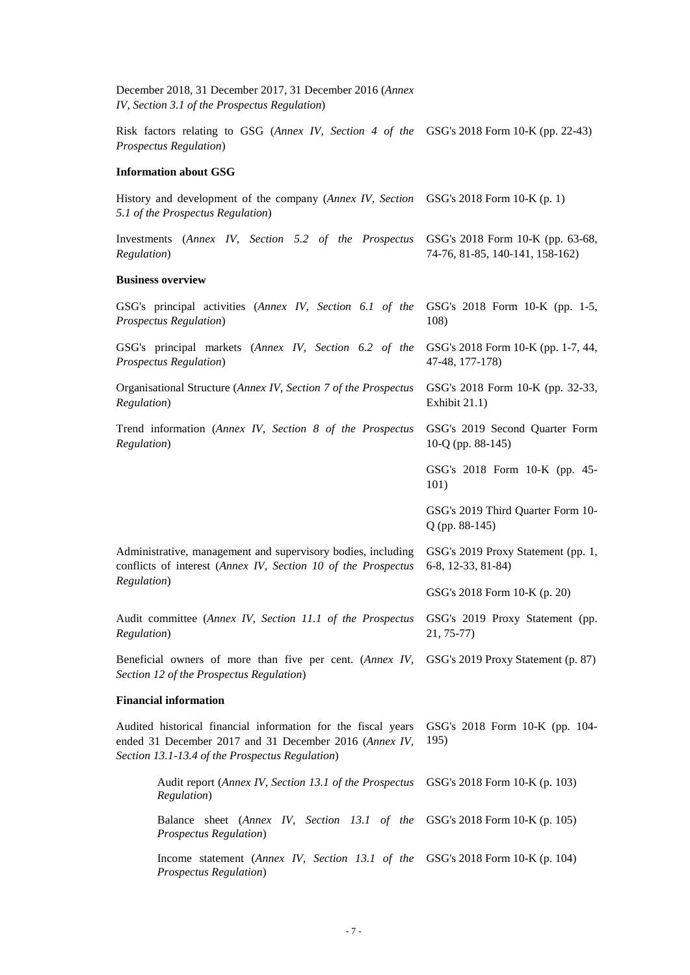| December 2018, 31 December 2017, 31 December 2016 (Annex<br>IV, Section 3.1 of the Prospectus Regulation)                                                                  |                                                                     |  |  |
|----------------------------------------------------------------------------------------------------------------------------------------------------------------------------|---------------------------------------------------------------------|--|--|
| Risk factors relating to GSG (Annex IV, Section 4 of the GSG's 2018 Form 10-K (pp. 22-43)<br><b>Prospectus Regulation</b> )                                                |                                                                     |  |  |
| <b>Information about GSG</b>                                                                                                                                               |                                                                     |  |  |
| History and development of the company (Annex IV, Section<br>5.1 of the Prospectus Regulation)                                                                             | GSG's 2018 Form 10-K (p. 1)                                         |  |  |
| Investments (Annex IV, Section 5.2 of the Prospectus<br>Regulation)                                                                                                        | GSG's 2018 Form 10-K (pp. 63-68,<br>74-76, 81-85, 140-141, 158-162) |  |  |
| <b>Business overview</b>                                                                                                                                                   |                                                                     |  |  |
| GSG's principal activities (Annex IV, Section 6.1 of the<br><b>Prospectus Regulation</b> )                                                                                 | GSG's 2018 Form 10-K (pp. 1-5,<br>108)                              |  |  |
| GSG's principal markets (Annex IV, Section 6.2 of the<br><b>Prospectus Regulation</b> )                                                                                    | GSG's 2018 Form 10-K (pp. 1-7, 44,<br>47-48, 177-178)               |  |  |
| Organisational Structure (Annex IV, Section 7 of the Prospectus<br>Regulation)                                                                                             | GSG's 2018 Form 10-K (pp. 32-33,<br>Exhibit 21.1)                   |  |  |
| Trend information (Annex IV, Section 8 of the Prospectus<br>Regulation)                                                                                                    | GSG's 2019 Second Quarter Form<br>10-Q (pp. $88-145$ )              |  |  |
|                                                                                                                                                                            | GSG's 2018 Form 10-K (pp. 45-<br>101)                               |  |  |
|                                                                                                                                                                            | GSG's 2019 Third Quarter Form 10-<br>$Q$ (pp. 88-145)               |  |  |
| Administrative, management and supervisory bodies, including<br>conflicts of interest (Annex IV, Section 10 of the Prospectus                                              | GSG's 2019 Proxy Statement (pp. 1,<br>6-8, 12-33, 81-84)            |  |  |
| Regulation)                                                                                                                                                                | GSG's 2018 Form 10-K (p. 20)                                        |  |  |
| Audit committee (Annex IV, Section 11.1 of the Prospectus<br>Regulation)                                                                                                   | GSG's 2019 Proxy Statement (pp.<br>$21, 75-77$                      |  |  |
| Beneficial owners of more than five per cent. (Annex IV,<br>Section 12 of the Prospectus Regulation)                                                                       | GSG's 2019 Proxy Statement (p. 87)                                  |  |  |
| <b>Financial information</b>                                                                                                                                               |                                                                     |  |  |
| Audited historical financial information for the fiscal years<br>ended 31 December 2017 and 31 December 2016 (Annex IV,<br>Section 13.1-13.4 of the Prospectus Regulation) | GSG's 2018 Form 10-K (pp. 104-<br>195)                              |  |  |
| Audit report (Annex IV, Section 13.1 of the Prospectus<br>Regulation)                                                                                                      | GSG's 2018 Form 10-K (p. 103)                                       |  |  |
| Balance sheet (Annex IV, Section 13.1 of the<br><b>Prospectus Regulation</b> )                                                                                             | GSG's 2018 Form 10-K (p. 105)                                       |  |  |
| Income statement (Annex IV, Section 13.1 of the GSG's 2018 Form 10-K (p. 104)<br><b>Prospectus Regulation</b> )                                                            |                                                                     |  |  |
|                                                                                                                                                                            |                                                                     |  |  |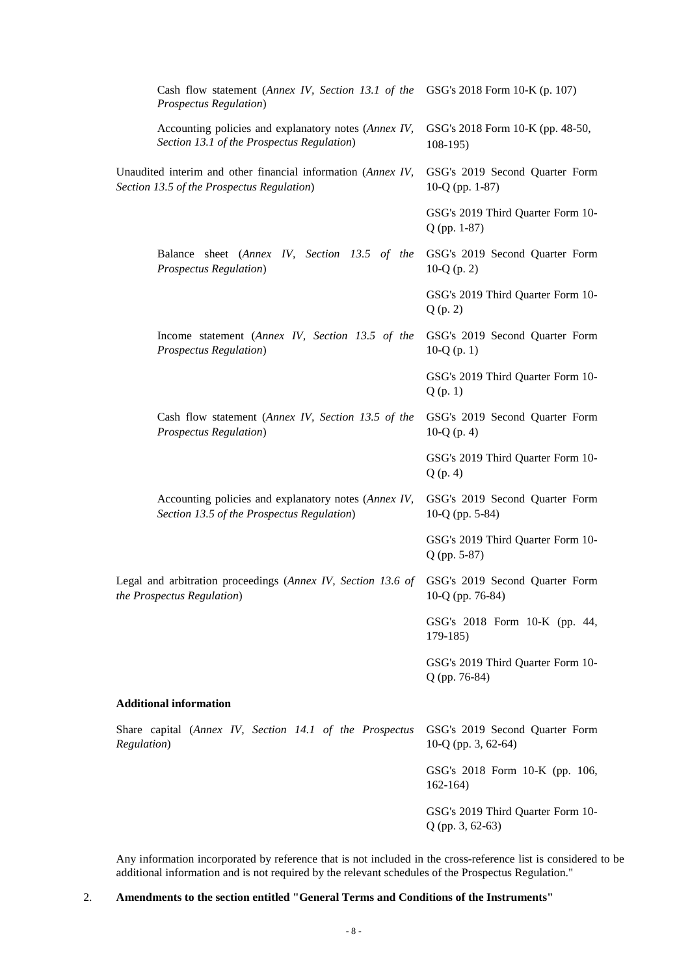| Cash flow statement (Annex IV, Section 13.1 of the GSG's 2018 Form 10-K (p. 107)<br><b>Prospectus Regulation</b> )        |                                                       |
|---------------------------------------------------------------------------------------------------------------------------|-------------------------------------------------------|
| Accounting policies and explanatory notes (Annex IV,<br>Section 13.1 of the Prospectus Regulation)                        | GSG's 2018 Form 10-K (pp. 48-50,<br>$108-195$         |
| Unaudited interim and other financial information (Annex IV,<br>Section 13.5 of the Prospectus Regulation)                | GSG's 2019 Second Quarter Form<br>10-Q (pp. $1-87$ )  |
|                                                                                                                           | GSG's 2019 Third Quarter Form 10-<br>$Q$ (pp. 1-87)   |
| Balance sheet (Annex IV, Section 13.5 of the<br><b>Prospectus Regulation</b> )                                            | GSG's 2019 Second Quarter Form<br>10-Q $(p. 2)$       |
|                                                                                                                           | GSG's 2019 Third Quarter Form 10-<br>Q(p, 2)          |
| Income statement (Annex IV, Section 13.5 of the<br><b>Prospectus Regulation</b> )                                         | GSG's 2019 Second Quarter Form<br>10- $Q$ (p. 1)      |
|                                                                                                                           | GSG's 2019 Third Quarter Form 10-<br>Q(p. 1)          |
| Cash flow statement (Annex IV, Section 13.5 of the<br><b>Prospectus Regulation</b> )                                      | GSG's 2019 Second Quarter Form<br>10-Q $(p. 4)$       |
|                                                                                                                           | GSG's 2019 Third Quarter Form 10-<br>$Q$ (p. 4)       |
| Accounting policies and explanatory notes (Annex IV,<br>Section 13.5 of the Prospectus Regulation)                        | GSG's 2019 Second Quarter Form<br>10-Q (pp. 5-84)     |
|                                                                                                                           | GSG's 2019 Third Quarter Form 10-<br>Q (pp. 5-87)     |
| Legal and arbitration proceedings (Annex IV, Section 13.6 of GSG's 2019 Second Quarter Form<br>the Prospectus Regulation) | 10-Q (pp. 76-84)                                      |
|                                                                                                                           | GSG's 2018 Form 10-K (pp. 44,<br>$179-185$            |
|                                                                                                                           | GSG's 2019 Third Quarter Form 10-<br>Q (pp. 76-84)    |
| <b>Additional information</b>                                                                                             |                                                       |
| Share capital (Annex IV, Section 14.1 of the Prospectus<br>Regulation)                                                    | GSG's 2019 Second Quarter Form<br>10-Q (pp. 3, 62-64) |
|                                                                                                                           | GSG's 2018 Form 10-K (pp. 106,<br>$162 - 164$         |
|                                                                                                                           | GSG's 2019 Third Quarter Form 10-<br>Q (pp. 3, 62-63) |

Any information incorporated by reference that is not included in the cross-reference list is considered to be additional information and is not required by the relevant schedules of the Prospectus Regulation."

2. **Amendments to the section entitled "General Terms and Conditions of the Instruments"**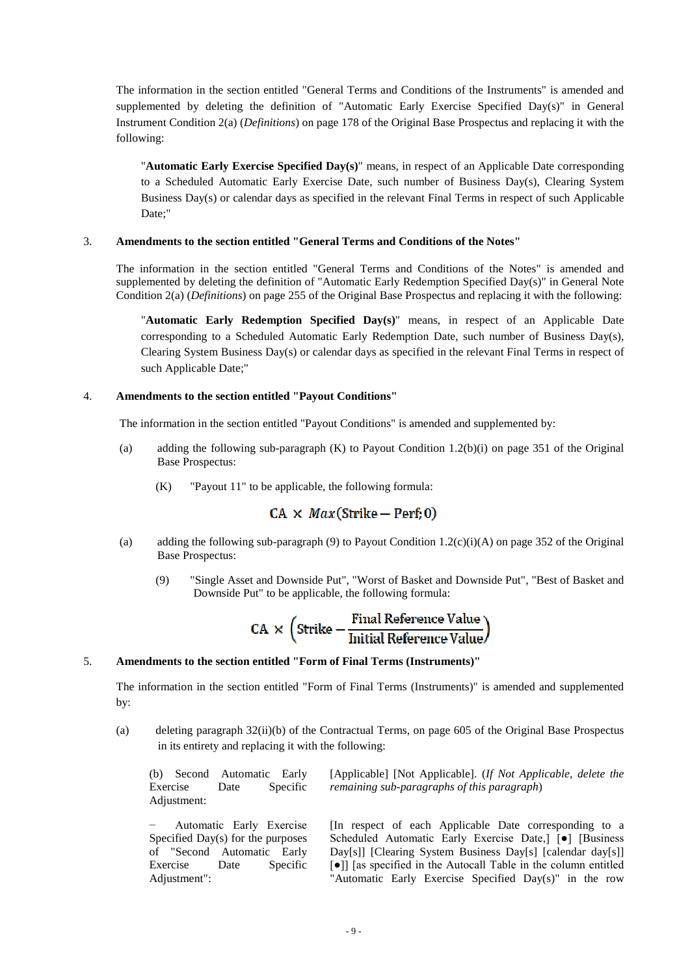The information in the section entitled "General Terms and Conditions of the Instruments" is amended and supplemented by deleting the definition of "Automatic Early Exercise Specified Day(s)" in General Instrument Condition 2(a) (*Definitions*) on page 178 of the Original Base Prospectus and replacing it with the following:

"**Automatic Early Exercise Specified Day(s)**" means, in respect of an Applicable Date corresponding to a Scheduled Automatic Early Exercise Date, such number of Business Day(s), Clearing System Business Day(s) or calendar days as specified in the relevant Final Terms in respect of such Applicable Date;"

### 3. **Amendments to the section entitled "General Terms and Conditions of the Notes"**

The information in the section entitled "General Terms and Conditions of the Notes" is amended and supplemented by deleting the definition of "Automatic Early Redemption Specified Day(s)" in General Note Condition 2(a) (*Definitions*) on page 255 of the Original Base Prospectus and replacing it with the following:

"**Automatic Early Redemption Specified Day(s)**" means, in respect of an Applicable Date corresponding to a Scheduled Automatic Early Redemption Date, such number of Business Day(s), Clearing System Business Day(s) or calendar days as specified in the relevant Final Terms in respect of such Applicable Date;"

# 4. **Amendments to the section entitled "Payout Conditions"**

The information in the section entitled "Payout Conditions" is amended and supplemented by:

- (a) adding the following sub-paragraph (K) to Payout Condition 1.2(b)(i) on page 351 of the Original Base Prospectus:
	- (K) "Payout 11" to be applicable, the following formula:

# $CA \times Max(String - Perf, 0)$

- (a) adding the following sub-paragraph (9) to Payout Condition 1.2(c)(i)(A) on page 352 of the Original Base Prospectus:
	- (9) "Single Asset and Downside Put", "Worst of Basket and Downside Put", "Best of Basket and Downside Put" to be applicable, the following formula:

$$
CA \times \left(\text{Strike} - \frac{\text{Final Reference Value}}{\text{Initial Reference Value}}\right)
$$

### 5. **Amendments to the section entitled "Form of Final Terms (Instruments)"**

The information in the section entitled "Form of Final Terms (Instruments)" is amended and supplemented by:

(a) deleting paragraph 32(ii)(b) of the Contractual Terms, on page 605 of the Original Base Prospectus in its entirety and replacing it with the following:

|             | (b) Second Automatic Early |          | [Applicable] [Not Applicable]. <i>(If Not Applicable, delete the</i> |  |
|-------------|----------------------------|----------|----------------------------------------------------------------------|--|
| Exercise    | Date                       | Specific | remaining sub-paragraphs of this paragraph)                          |  |
| Adjustment: |                            |          |                                                                      |  |
|             | Automatic Early Exercise   |          | In respect of each Applicable Date corresponding to a                |  |

Specified Day(s) for the purposes of "Second Automatic Early Exercise Date Specific Adjustment":

Scheduled Automatic Early Exercise Date,] [●] [Business Day[s]] [Clearing System Business Day[s] [calendar day[s]] [●]] [as specified in the Autocall Table in the column entitled "Automatic Early Exercise Specified Day(s)" in the row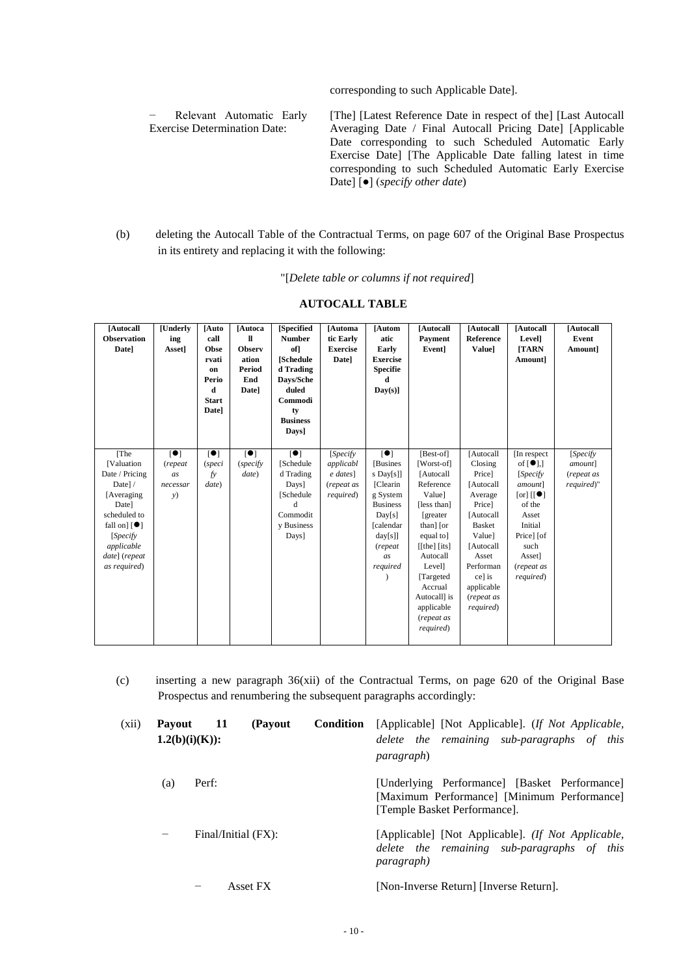corresponding to such Applicable Date].

− Relevant Automatic Early Exercise Determination Date:

[The] [Latest Reference Date in respect of the] [Last Autocall Averaging Date / Final Autocall Pricing Date] [Applicable Date corresponding to such Scheduled Automatic Early Exercise Date] [The Applicable Date falling latest in time corresponding to such Scheduled Automatic Early Exercise Date] [●] (*specify other date*)

(b) deleting the Autocall Table of the Contractual Terms, on page 607 of the Original Base Prospectus in its entirety and replacing it with the following:

"[*Delete table or columns if not required*]

| [Autocall<br><b>Observation</b><br>Date]                                                                                                                                              | <b>[Underly</b><br>ing<br>Asset]                   | [Auto<br>call<br>Obse<br>rvati<br>on<br>Perio<br>d<br><b>Start</b><br>Date] | [Autoca<br>$\mathbf{u}$<br><b>Observ</b><br>ation<br><b>Period</b><br>End<br>Date] | <b>[Specified</b><br><b>Number</b><br>of<br><b>[Schedule</b><br>d Trading<br>Days/Sche<br>duled<br>Commodi<br>ty<br><b>Business</b><br>Days] | [Automa<br>tic Early<br><b>Exercise</b><br><b>Date</b> ]        | [Autom<br>atic<br>Early<br><b>Exercise</b><br><b>Specifie</b><br>d<br>$Day(s)$ ]                                                                   | [Autocall]<br>Payment<br>Event]                                                                                                                                                                                                                 | [Autocall]<br><b>Reference</b><br>Valuel                                                                                                                                                       | [Autocall<br>Level]<br><b>TARN</b><br>Amount]                                                                                                                                                                            | [Autocall<br>Event<br>Amount]                    |
|---------------------------------------------------------------------------------------------------------------------------------------------------------------------------------------|----------------------------------------------------|-----------------------------------------------------------------------------|------------------------------------------------------------------------------------|----------------------------------------------------------------------------------------------------------------------------------------------|-----------------------------------------------------------------|----------------------------------------------------------------------------------------------------------------------------------------------------|-------------------------------------------------------------------------------------------------------------------------------------------------------------------------------------------------------------------------------------------------|------------------------------------------------------------------------------------------------------------------------------------------------------------------------------------------------|--------------------------------------------------------------------------------------------------------------------------------------------------------------------------------------------------------------------------|--------------------------------------------------|
| [The<br>[Valuation<br>Date / Pricing<br>Date]/<br>[Averaging]<br>Date]<br>scheduled to<br>fall on $\lceil \bullet \rceil$<br>[Specify]<br>applicable<br>date] (repeat<br>as required) | $\blacksquare$<br>(repeat)<br>as<br>necessar<br>y) | $\blacksquare$<br><i>(speci</i><br>fy<br>date)                              | $\blacksquare$<br>(specify)<br>date)                                               | $\lceil \bullet \rceil$<br>[Schedule<br>d Trading<br>Days]<br>[Schedule<br>d<br>Commodit<br>v Business<br>Days]                              | [Specify]<br>applicabl<br>$e$ dates]<br>(repeat as<br>required) | [•]<br>[Busines]<br>s Day[s]]<br>[Clearin]<br>g System<br><b>Business</b><br>Day[s]<br><b>[calendar</b><br>$day[s]$ ]<br>(repeat<br>as<br>required | [Best-of]<br>[Worst-of]<br>[Autocal]<br>Reference<br>Value]<br>[less than]<br>[greater]<br>than] [or<br>equal to]<br>$[$ [the] $[$ its]<br>Autocall<br>Level]<br>[Targeted]<br>Accrual<br>Autocall] is<br>applicable<br>(repeat as<br>required) | [Autocal]<br>Closing<br>Price]<br>[Autocal]<br>Average<br>Price]<br>[Autocal]<br><b>Basket</b><br>Value]<br>[Autocal]<br>Asset<br>Performan<br>ce] is<br>applicable<br>(repeat as<br>required) | [In respect]<br>of $\lceil \bullet \rceil$ ,<br>[Specify]<br>amount]<br>$\lceil \text{or} \rceil$ $\lceil \cdot \bullet \rceil$<br>of the<br>Asset<br>Initial<br>Price] [of<br>such<br>Asset]<br>(repeat as<br>required) | [Specify]<br>amount]<br>(repeat as<br>required)" |

# **AUTOCALL TABLE**

(c) inserting a new paragraph 36(xii) of the Contractual Terms, on page 620 of the Original Base Prospectus and renumbering the subsequent paragraphs accordingly:

| (xii) | <b>Pavout</b>     | 11<br>$1.2(b)(i)(K))$ : | (Payout  | <b>Condition</b> | [Applicable] [Not Applicable]. (If Not Applicable,<br>delete the remaining sub-paragraphs of this<br><i>paragraph</i> )      |
|-------|-------------------|-------------------------|----------|------------------|------------------------------------------------------------------------------------------------------------------------------|
|       | (a)               | Perf:                   |          |                  | [Underlying Performance] [Basket Performance]<br>[Maximum Performance] [Minimum Performance]<br>[Temple Basket Performance]. |
|       | $\qquad \qquad -$ | Final/Initial (FX):     |          |                  | [Applicable] [Not Applicable]. (If Not Applicable,<br>delete the remaining sub-paragraphs of this<br><i>paragraph</i> )      |
|       |                   |                         | Asset FX |                  | [Non-Inverse Return] [Inverse Return].                                                                                       |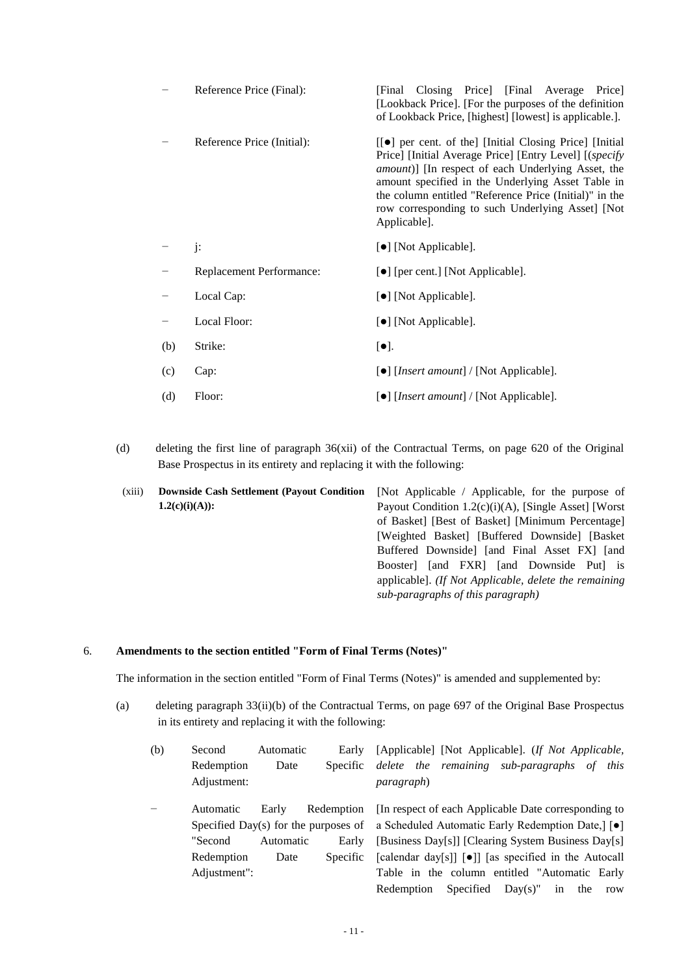|     | Reference Price (Final):   | Closing Price [Final Average]<br>[Final]<br>Pricel<br>[Lookback Price]. [For the purposes of the definition]<br>of Lookback Price, [highest] [lowest] is applicable.].                                                                                                                                                                                              |  |  |  |  |
|-----|----------------------------|---------------------------------------------------------------------------------------------------------------------------------------------------------------------------------------------------------------------------------------------------------------------------------------------------------------------------------------------------------------------|--|--|--|--|
|     | Reference Price (Initial): | [[●] per cent. of the] [Initial Closing Price] [Initial]<br>Price] [Initial Average Price] [Entry Level] [(specify<br><i>amount</i> )] [In respect of each Underlying Asset, the<br>amount specified in the Underlying Asset Table in<br>the column entitled "Reference Price (Initial)" in the<br>row corresponding to such Underlying Asset] [Not<br>Applicable]. |  |  |  |  |
|     | j:                         | [•] [Not Applicable].                                                                                                                                                                                                                                                                                                                                               |  |  |  |  |
|     | Replacement Performance:   | [●] [per cent.] [Not Applicable].                                                                                                                                                                                                                                                                                                                                   |  |  |  |  |
|     | Local Cap:                 | [ $\bullet$ ] [Not Applicable].                                                                                                                                                                                                                                                                                                                                     |  |  |  |  |
|     | Local Floor:               | [•] [Not Applicable].                                                                                                                                                                                                                                                                                                                                               |  |  |  |  |
| (b) | Strike:                    | $[\bullet]$ .                                                                                                                                                                                                                                                                                                                                                       |  |  |  |  |
| (c) | Cap:                       | $\lceil \bullet \rceil$ [ <i>Insert amount</i> ] / [Not Applicable].                                                                                                                                                                                                                                                                                                |  |  |  |  |
| (d) | Floor:                     | [•] [ <i>Insert amount</i> ] / [Not Applicable].                                                                                                                                                                                                                                                                                                                    |  |  |  |  |

(d) deleting the first line of paragraph 36(xii) of the Contractual Terms, on page 620 of the Original Base Prospectus in its entirety and replacing it with the following:

(xiii) **Downside Cash Settlement (Payout Condition**   $1.2(c)(i)(A))$ : [Not Applicable / Applicable, for the purpose of Payout Condition 1.2(c)(i)(A), [Single Asset] [Worst of Basket] [Best of Basket] [Minimum Percentage] [Weighted Basket] [Buffered Downside] [Basket Buffered Downside] [and Final Asset FX] [and Booster] [and FXR] [and Downside Put] is applicable]. *(If Not Applicable, delete the remaining sub-paragraphs of this paragraph)*

### 6. **Amendments to the section entitled "Form of Final Terms (Notes)"**

The information in the section entitled "Form of Final Terms (Notes)" is amended and supplemented by:

(a) deleting paragraph 33(ii)(b) of the Contractual Terms, on page 697 of the Original Base Prospectus in its entirety and replacing it with the following:

| (b) | Second       | Automatic | Early           | [Applicable] [Not Applicable]. (If Not Applicable,                                                        |
|-----|--------------|-----------|-----------------|-----------------------------------------------------------------------------------------------------------|
|     | Redemption   | Date      | <i>Specific</i> | delete the remaining sub-paragraphs of this                                                               |
|     | Adjustment:  |           |                 | <i>paragraph</i> )                                                                                        |
|     | Automatic    | Early     |                 | Redemption In respect of each Applicable Date corresponding to                                            |
|     |              |           |                 | Specified Day(s) for the purposes of a Scheduled Automatic Early Redemption Date, $\lceil \bullet \rceil$ |
|     | "Second      | Automatic | Early           | [Business Day[s]] [Clearing System Business Day[s]                                                        |
|     | Redemption   | Date      | <i>Specific</i> | [calendar day[s]] [•]] [as specified in the Autocall                                                      |
|     | Adjustment": |           |                 | Table in the column entitled "Automatic Early                                                             |
|     |              |           |                 | Specified $Day(s)$ "<br>Redemption<br>in the<br>row                                                       |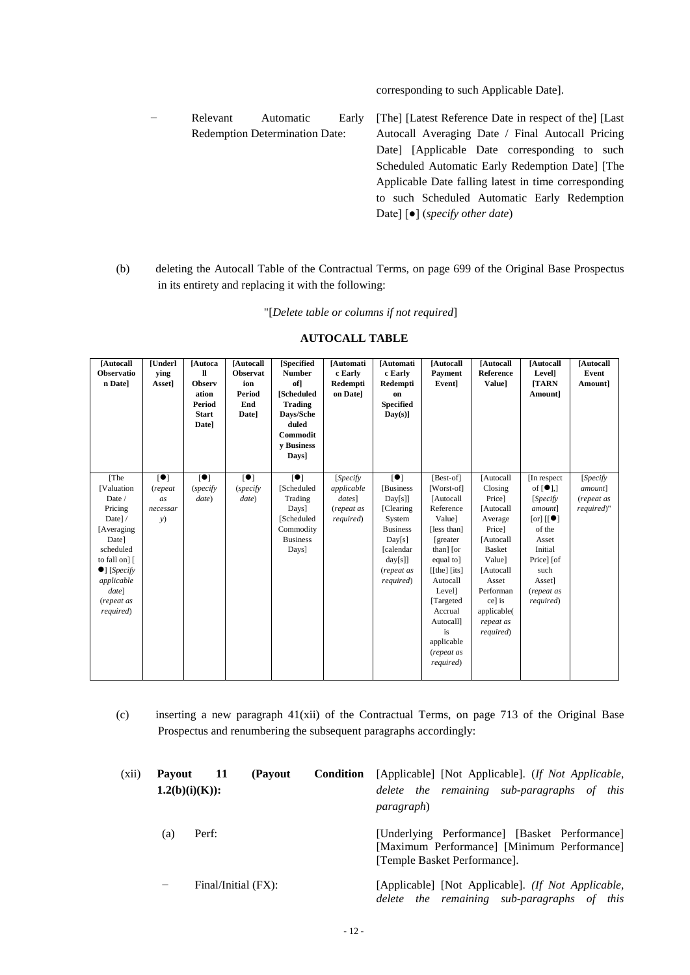corresponding to such Applicable Date].

− Relevant Automatic Early Redemption Determination Date: [The] [Latest Reference Date in respect of the] [Last Autocall Averaging Date / Final Autocall Pricing Date] [Applicable Date corresponding to such Scheduled Automatic Early Redemption Date] [The Applicable Date falling latest in time corresponding to such Scheduled Automatic Early Redemption Date] [●] (*specify other date*)

(b) deleting the Autocall Table of the Contractual Terms, on page 699 of the Original Base Prospectus in its entirety and replacing it with the following:

"[*Delete table or columns if not required*]

| [Autocall<br>Observatio<br>n Date]                                                                                                                                                        | [Underl<br>ying<br>Asset]                         | [Autoca<br>H<br><b>Observ</b><br>ation<br>Period<br><b>Start</b><br>Date] | [Autocall<br><b>Observat</b><br>ion<br>Period<br>End<br>Date] | [Specified<br><b>Number</b><br>of<br><b>[Scheduled</b><br><b>Trading</b><br>Days/Sche<br>duled<br>Commodit<br>v Business<br>Days] | [Automati<br>c Early<br>Redempti<br>on Datel                 | [Automati<br>c Early<br>Redempti<br>on<br><b>Specified</b><br>Day(s)]                                                                                     | [Autocall<br>Payment<br>Event]                                                                                                                                                                                                                     | <b>[Autocall</b><br>Reference<br><b>Value</b> ]                                                                                                                                                | [Autocall<br>Level]<br><b>TARN</b><br>Amount]                                                                                                                                                                             | [Autocall<br>Event<br>Amount]                           |
|-------------------------------------------------------------------------------------------------------------------------------------------------------------------------------------------|---------------------------------------------------|---------------------------------------------------------------------------|---------------------------------------------------------------|-----------------------------------------------------------------------------------------------------------------------------------|--------------------------------------------------------------|-----------------------------------------------------------------------------------------------------------------------------------------------------------|----------------------------------------------------------------------------------------------------------------------------------------------------------------------------------------------------------------------------------------------------|------------------------------------------------------------------------------------------------------------------------------------------------------------------------------------------------|---------------------------------------------------------------------------------------------------------------------------------------------------------------------------------------------------------------------------|---------------------------------------------------------|
| [The<br>[Valuation<br>Date /<br>Pricing<br>Date]/<br>[Averaging]<br>Date]<br>scheduled<br>to fall on] [<br>$\bullet$ ] [ <i>Specify</i><br>applicable<br>date]<br>(repeat as<br>required) | $\blacksquare$<br>(repeat<br>as<br>necessar<br>y) | $\blacksquare$<br>(specify)<br>date)                                      | [•]<br>(specify)<br>date)                                     | $\blacksquare$<br>[Scheduled<br>Trading<br>Days]<br>[Scheduled<br>Commodity<br><b>Business</b><br>Days]                           | [Specify]<br>applicable<br>dates]<br>(repeat as<br>required) | $\blacksquare$<br><b>Business</b><br>Day[s]<br>[Clearing]<br>System<br><b>Business</b><br>Day[s]<br><b>[calendar</b><br>day[s]<br>(repeat as<br>required) | [Best-of]<br>[Worst-of]<br>[Autocal]<br>Reference<br>Valuel<br>[less than]<br>[greater]<br>than] [or<br>equal to]<br>$[$ [the] $[$ its]<br>Autocall<br>Level]<br>[Targeted]<br>Accrual<br>Autocall]<br>is<br>applicable<br>(repeat as<br>required) | [Autocall<br>Closing<br>Price]<br>[Autocal]<br>Average<br>Price]<br>[Autocal]<br><b>Basket</b><br>Value]<br>[Autocal]<br>Asset<br>Performan<br>ce] is<br>applicable(<br>repeat as<br>required) | [In respect]<br>of $\lceil \bullet \rceil$ .]<br>[Specify]<br>amount]<br>$\lceil \text{or} \rceil$ $\lceil \cdot \bullet \rceil$<br>of the<br>Asset<br>Initial<br>Price] [of<br>such<br>Asset]<br>(repeat as<br>required) | [Specify<br><i>amount</i> ]<br>(repeat as<br>required)" |

### **AUTOCALL TABLE**

(c) inserting a new paragraph 41(xii) of the Contractual Terms, on page 713 of the Original Base Prospectus and renumbering the subsequent paragraphs accordingly:

| (xii) | 11<br>(Payout<br><b>Pavout</b><br>$1.2(b)(i)(K)$ : |                     |  | Condition | [Applicable] [Not Applicable]. (If Not Applicable,<br>delete the remaining sub-paragraphs of this<br><i>paragraph</i> )      |
|-------|----------------------------------------------------|---------------------|--|-----------|------------------------------------------------------------------------------------------------------------------------------|
|       | (a)                                                | Perf:               |  |           | [Underlying Performance] [Basket Performance]<br>[Maximum Performance] [Minimum Performance]<br>[Temple Basket Performance]. |
|       | -                                                  | Final/Initial (FX): |  |           | [Applicable] [Not Applicable]. (If Not Applicable,<br>delete the remaining sub-paragraphs of this                            |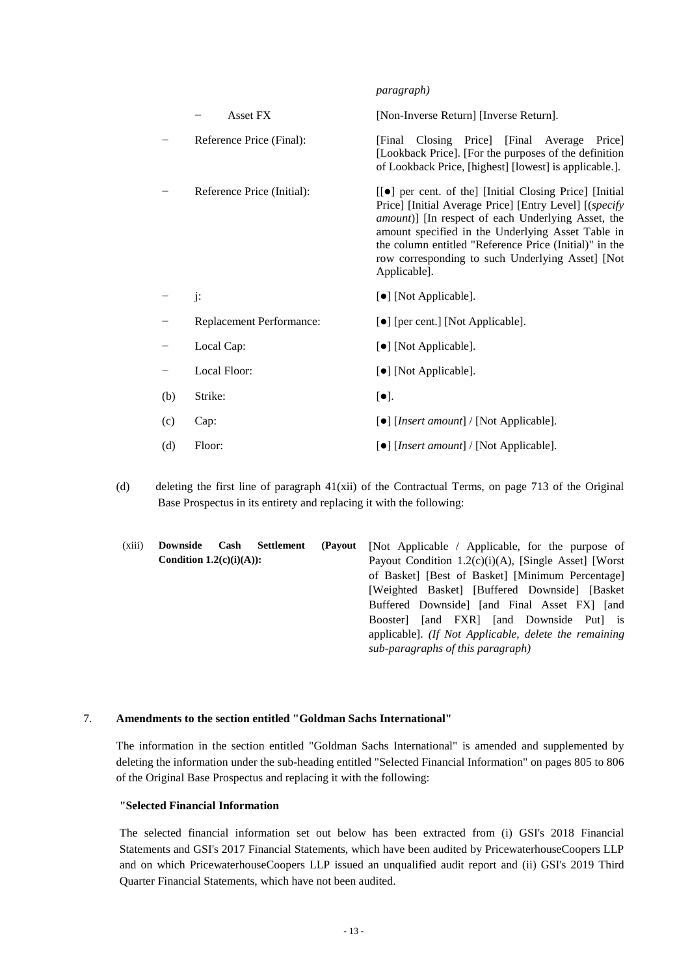|     |                            | $P^{\alpha}$ $\alpha_{\beta}$ , $\alpha_{P}$ , $\beta$                                                                                                                                                                                                                                                                                                      |  |  |  |
|-----|----------------------------|-------------------------------------------------------------------------------------------------------------------------------------------------------------------------------------------------------------------------------------------------------------------------------------------------------------------------------------------------------------|--|--|--|
|     | Asset FX                   | [Non-Inverse Return] [Inverse Return].                                                                                                                                                                                                                                                                                                                      |  |  |  |
|     | Reference Price (Final):   | [Final Closing Price] [Final Average Price]<br>[Lookback Price]. [For the purposes of the definition<br>of Lookback Price, [highest] [lowest] is applicable.].                                                                                                                                                                                              |  |  |  |
|     | Reference Price (Initial): | [[●] per cent. of the] [Initial Closing Price] [Initial]<br>Price] [Initial Average Price] [Entry Level] [(specify<br>amount)] [In respect of each Underlying Asset, the<br>amount specified in the Underlying Asset Table in<br>the column entitled "Reference Price (Initial)" in the<br>row corresponding to such Underlying Asset] [Not<br>Applicable]. |  |  |  |
|     | $j$ :                      | [•] [Not Applicable].                                                                                                                                                                                                                                                                                                                                       |  |  |  |
|     | Replacement Performance:   | [ $\bullet$ ] [per cent.] [Not Applicable].                                                                                                                                                                                                                                                                                                                 |  |  |  |
|     | Local Cap:                 | [•] [Not Applicable].                                                                                                                                                                                                                                                                                                                                       |  |  |  |
|     | Local Floor:               | [ $\bullet$ ] [Not Applicable].                                                                                                                                                                                                                                                                                                                             |  |  |  |
| (b) | Strike:                    | $[\bullet]$ .                                                                                                                                                                                                                                                                                                                                               |  |  |  |
| (c) | Cap:                       | [•] [ <i>Insert amount</i> ] / [Not Applicable].                                                                                                                                                                                                                                                                                                            |  |  |  |
| (d) | Floor:                     | [•] [Insert amount] / [Not Applicable].                                                                                                                                                                                                                                                                                                                     |  |  |  |

*paragraph)*

(d) deleting the first line of paragraph 41(xii) of the Contractual Terms, on page 713 of the Original Base Prospectus in its entirety and replacing it with the following:

| (xiii) | Downside                   | Cash Settlement | (Payout | [Not Applicable / Applicable, for the purpose of      |
|--------|----------------------------|-----------------|---------|-------------------------------------------------------|
|        | Condition $1.2(c)(i)(A)$ : |                 |         | Payout Condition 1.2(c)(i)(A), [Single Asset] [Worst] |
|        |                            |                 |         | of Basket] [Best of Basket] [Minimum Percentage]      |
|        |                            |                 |         | [Weighted Basket] [Buffered Downside] [Basket]        |
|        |                            |                 |         | Buffered Downside [and Final Asset FX] [and           |
|        |                            |                 |         | Booster [and FXR] [and Downside Put] is               |
|        |                            |                 |         | applicable]. (If Not Applicable, delete the remaining |
|        |                            |                 |         | sub-paragraphs of this paragraph)                     |

# 7. **Amendments to the section entitled "Goldman Sachs International"**

The information in the section entitled "Goldman Sachs International" is amended and supplemented by deleting the information under the sub-heading entitled "Selected Financial Information" on pages 805 to 806 of the Original Base Prospectus and replacing it with the following:

# **"Selected Financial Information**

The selected financial information set out below has been extracted from (i) GSI's 2018 Financial Statements and GSI's 2017 Financial Statements, which have been audited by PricewaterhouseCoopers LLP and on which PricewaterhouseCoopers LLP issued an unqualified audit report and (ii) GSI's 2019 Third Quarter Financial Statements, which have not been audited.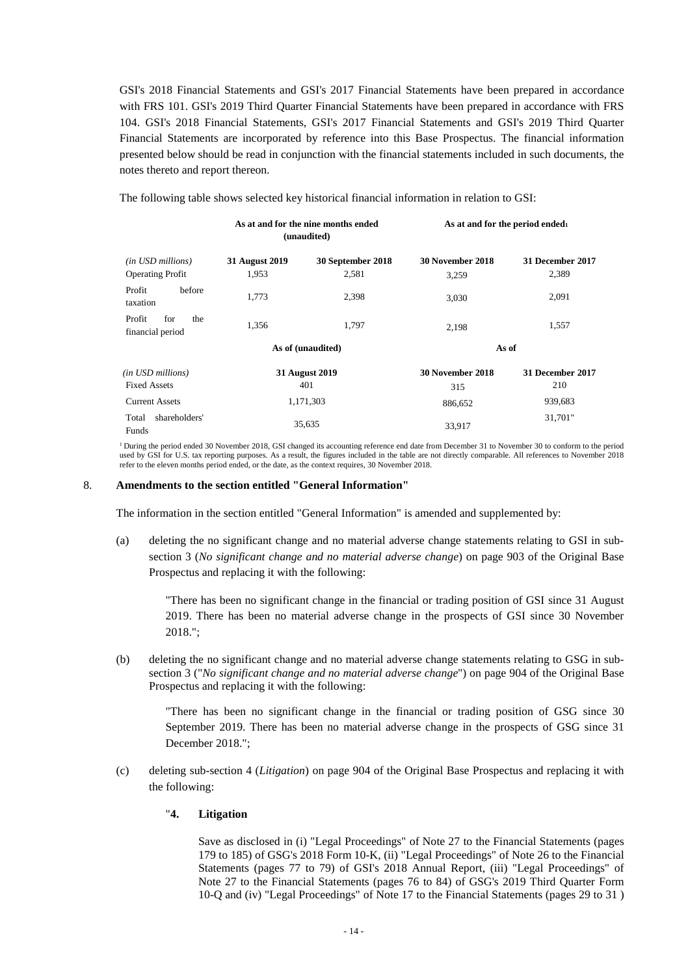GSI's 2018 Financial Statements and GSI's 2017 Financial Statements have been prepared in accordance with FRS 101. GSI's 2019 Third Quarter Financial Statements have been prepared in accordance with FRS 104. GSI's 2018 Financial Statements, GSI's 2017 Financial Statements and GSI's 2019 Third Quarter Financial Statements are incorporated by reference into this Base Prospectus. The financial information presented below should be read in conjunction with the financial statements included in such documents, the notes thereto and report thereon.

The following table shows selected key historical financial information in relation to GSI:

|                                              |                         | As at and for the nine months ended<br>(unaudited) | As at and for the period ended |                           |  |
|----------------------------------------------|-------------------------|----------------------------------------------------|--------------------------------|---------------------------|--|
| (in USD millions)<br><b>Operating Profit</b> | 31 August 2019<br>1,953 | 30 September 2018<br>2,581                         | 30 November 2018<br>3,259      | 31 December 2017<br>2,389 |  |
| Profit<br>before<br>taxation                 | 1,773                   | 2,398                                              | 3,030                          | 2,091                     |  |
| Profit<br>for<br>the<br>financial period     | 1,356<br>1,797          |                                                    | 2,198                          | 1,557                     |  |
|                                              |                         | As of (unaudited)                                  | As of                          |                           |  |
| (in USD millions)                            |                         | 31 August 2019                                     | 30 November 2018               | 31 December 2017          |  |
| <b>Fixed Assets</b>                          |                         | 401                                                | 315                            | 210                       |  |
| <b>Current Assets</b>                        |                         | 1,171,303                                          | 886,652                        | 939,683                   |  |
| shareholders'<br>Total<br>Funds              |                         | 35,635                                             | 33,917                         | 31,701"                   |  |

<sup>1</sup> During the period ended 30 November 2018, GSI changed its accounting reference end date from December 31 to November 30 to conform to the period used by GSI for U.S. tax reporting purposes. As a result, the figures included in the table are not directly comparable. All references to November 2018 refer to the eleven months period ended, or the date, as the context requires, 30 November 2018.

#### 8. **Amendments to the section entitled "General Information"**

The information in the section entitled "General Information" is amended and supplemented by:

(a) deleting the no significant change and no material adverse change statements relating to GSI in subsection 3 (*No significant change and no material adverse change*) on page 903 of the Original Base Prospectus and replacing it with the following:

"There has been no significant change in the financial or trading position of GSI since 31 August 2019. There has been no material adverse change in the prospects of GSI since 30 November 2018.";

(b) deleting the no significant change and no material adverse change statements relating to GSG in subsection 3 ("*No significant change and no material adverse change*") on page 904 of the Original Base Prospectus and replacing it with the following:

"There has been no significant change in the financial or trading position of GSG since 30 September 2019. There has been no material adverse change in the prospects of GSG since 31 December 2018.";

(c) deleting sub-section 4 (*Litigation*) on page 904 of the Original Base Prospectus and replacing it with the following:

### "**4. Litigation**

Save as disclosed in (i) "Legal Proceedings" of Note 27 to the Financial Statements (pages 179 to 185) of GSG's 2018 Form 10-K, (ii) "Legal Proceedings" of Note 26 to the Financial Statements (pages 77 to 79) of GSI's 2018 Annual Report, (iii) "Legal Proceedings" of Note 27 to the Financial Statements (pages 76 to 84) of GSG's 2019 Third Quarter Form 10-Q and (iv) "Legal Proceedings" of Note 17 to the Financial Statements (pages 29 to 31 )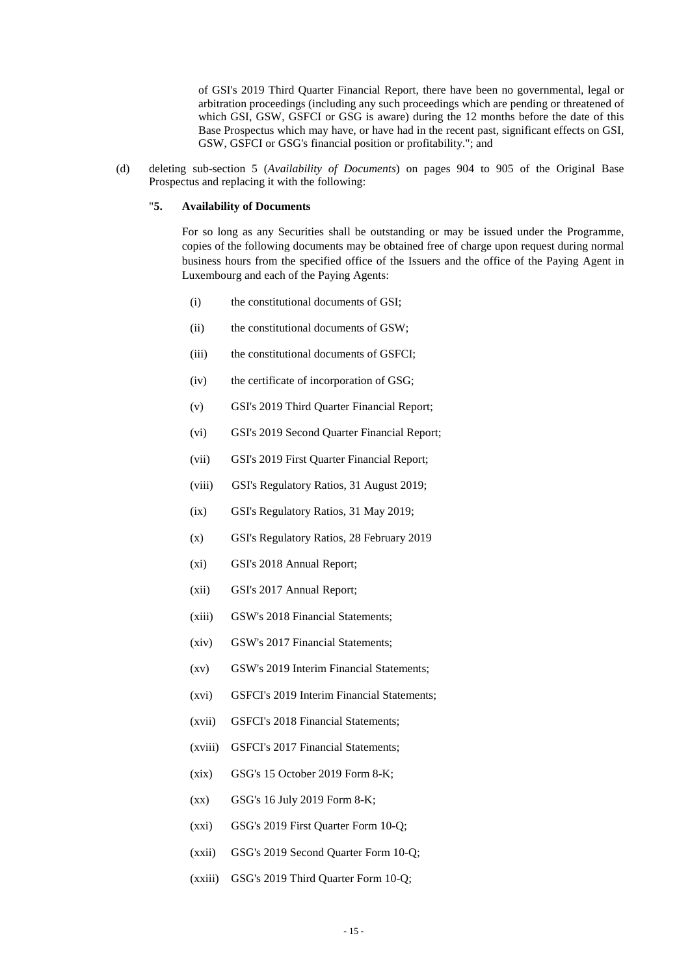of GSI's 2019 Third Quarter Financial Report, there have been no governmental, legal or arbitration proceedings (including any such proceedings which are pending or threatened of which GSI, GSW, GSFCI or GSG is aware) during the 12 months before the date of this Base Prospectus which may have, or have had in the recent past, significant effects on GSI, GSW, GSFCI or GSG's financial position or profitability."; and

(d) deleting sub-section 5 (*Availability of Documents*) on pages 904 to 905 of the Original Base Prospectus and replacing it with the following:

### "**5. Availability of Documents**

For so long as any Securities shall be outstanding or may be issued under the Programme, copies of the following documents may be obtained free of charge upon request during normal business hours from the specified office of the Issuers and the office of the Paying Agent in Luxembourg and each of the Paying Agents:

- (i) the constitutional documents of GSI;
- (ii) the constitutional documents of GSW;
- (iii) the constitutional documents of GSFCI;
- (iv) the certificate of incorporation of GSG;
- (v) GSI's 2019 Third Quarter Financial Report;
- (vi) GSI's 2019 Second Quarter Financial Report;
- (vii) GSI's 2019 First Quarter Financial Report;
- (viii) GSI's Regulatory Ratios, 31 August 2019;
- (ix) GSI's Regulatory Ratios, 31 May 2019;
- (x) GSI's Regulatory Ratios, 28 February 2019
- (xi) GSI's 2018 Annual Report;
- (xii) GSI's 2017 Annual Report;
- (xiii) GSW's 2018 Financial Statements;
- (xiv) GSW's 2017 Financial Statements;
- (xv) GSW's 2019 Interim Financial Statements;
- (xvi) GSFCI's 2019 Interim Financial Statements;
- (xvii) GSFCI's 2018 Financial Statements;
- (xviii) GSFCI's 2017 Financial Statements;
- (xix) GSG's 15 October 2019 Form 8-K;
- (xx) GSG's 16 July 2019 Form 8-K;
- (xxi) GSG's 2019 First Quarter Form 10-Q;
- (xxii) GSG's 2019 Second Quarter Form 10-Q;
- (xxiii) GSG's 2019 Third Quarter Form 10-Q;